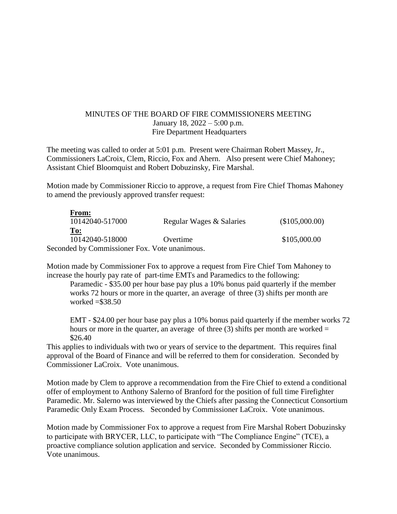## MINUTES OF THE BOARD OF FIRE COMMISSIONERS MEETING January 18, 2022 – 5:00 p.m. Fire Department Headquarters

The meeting was called to order at 5:01 p.m. Present were Chairman Robert Massey, Jr., Commissioners LaCroix, Clem, Riccio, Fox and Ahern. Also present were Chief Mahoney; Assistant Chief Bloomquist and Robert Dobuzinsky, Fire Marshal.

Motion made by Commissioner Riccio to approve, a request from Fire Chief Thomas Mahoney to amend the previously approved transfer request:

| From:                                         |                          |                |
|-----------------------------------------------|--------------------------|----------------|
| 10142040-517000                               | Regular Wages & Salaries | (\$105,000.00) |
| To:                                           |                          |                |
| 10142040-518000                               | Overtime                 | \$105,000.00   |
| Seconded by Commissioner Fox. Vote unanimous. |                          |                |

Motion made by Commissioner Fox to approve a request from Fire Chief Tom Mahoney to increase the hourly pay rate of part-time EMTs and Paramedics to the following:

Paramedic - \$35.00 per hour base pay plus a 10% bonus paid quarterly if the member works 72 hours or more in the quarter, an average of three (3) shifts per month are worked  $= $38.50$ 

EMT - \$24.00 per hour base pay plus a 10% bonus paid quarterly if the member works 72 hours or more in the quarter, an average of three  $(3)$  shifts per month are worked = \$26.40

This applies to individuals with two or years of service to the department. This requires final approval of the Board of Finance and will be referred to them for consideration. Seconded by Commissioner LaCroix. Vote unanimous.

Motion made by Clem to approve a recommendation from the Fire Chief to extend a conditional offer of employment to Anthony Salerno of Branford for the position of full time Firefighter Paramedic. Mr. Salerno was interviewed by the Chiefs after passing the Connecticut Consortium Paramedic Only Exam Process. Seconded by Commissioner LaCroix. Vote unanimous.

Motion made by Commissioner Fox to approve a request from Fire Marshal Robert Dobuzinsky to participate with BRYCER, LLC, to participate with "The Compliance Engine" (TCE), a proactive compliance solution application and service. Seconded by Commissioner Riccio. Vote unanimous.